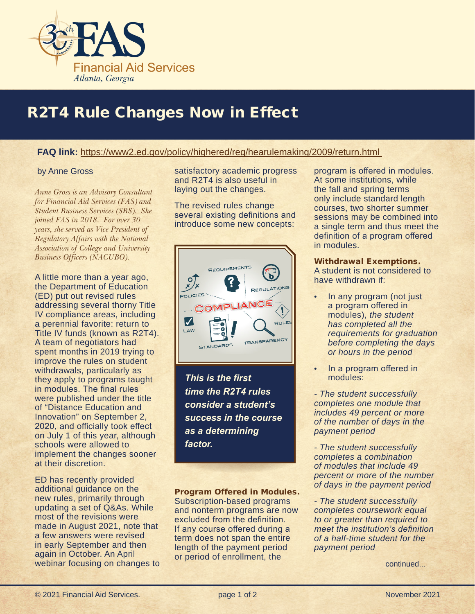

# R2T4 Rule Changes Now in Effect

### **FAQ link:** https://www2.ed.gov/policy/highered/reg/hearulemaking/2009/return.html

#### by Anne Gross

*Anne Gross is an Advisory Consultant for Financial Aid Services (FAS) and Student Business Services (SBS). She joined FAS in 2018. For over 30 years, she served as Vice President of Regulatory Affairs with the National Association of College and University Business Officers (NACUBO).*

A little more than a year ago, the Department of Education (ED) put out revised rules addressing several thorny Title IV compliance areas, including a perennial favorite: return to Title IV funds (known as R2T4). A team of negotiators had spent months in 2019 trying to improve the rules on student withdrawals, particularly as they apply to programs taught in modules. The final rules were published under the title of "Distance Education and Innovation" on September 2, 2020, and officially took effect on July 1 of this year, although schools were allowed to implement the changes sooner at their discretion.

ED has recently provided additional guidance on the new rules, primarily through updating a set of Q&As. While most of the revisions were made in August 2021, note that a few answers were revised in early September and then again in October. An April webinar focusing on changes to satisfactory academic progress and R2T4 is also useful in laying out the changes.

The revised rules change several existing definitions and introduce some new concepts:



*This is the first time the R2T4 rules consider a student's success in the course as a determining factor.*

Program Offered in Modules. Subscription-based programs and nonterm programs are now excluded from the definition. If any course offered during a term does not span the entire length of the payment period or period of enrollment, the

program is offered in modules. At some institutions, while the fall and spring terms only include standard length courses, two shorter summer sessions may be combined into a single term and thus meet the definition of a program offered in modules.

Withdrawal Exemptions. A student is not considered to have withdrawn if:

- In any program (not just a program offered in modules), *the student has completed all the requirements for graduation before completing the days or hours in the period*
- In a program offered in modules:

*- The student successfully completes one module that includes 49 percent or more of the number of days in the payment period*

*- The student successfully completes a combination of modules that include 49 percent or more of the number of days in the payment period*

*- The student successfully completes coursework equal to or greater than required to meet the institution's definition of a half-time student for the payment period*

continued...